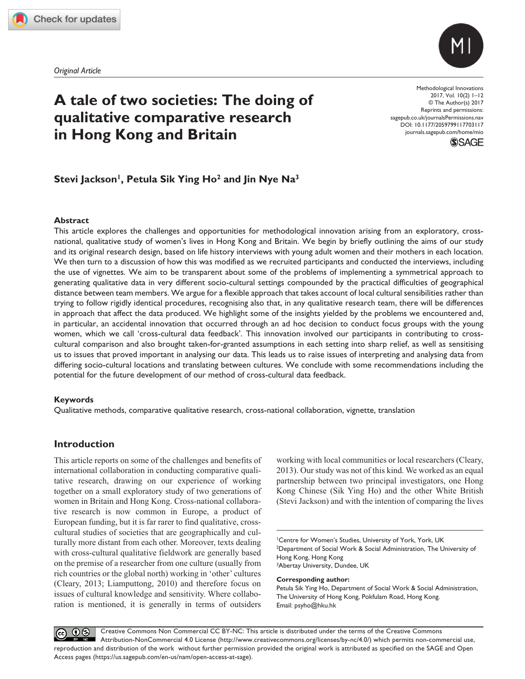*Original Article*

# **A tale of two societies: The doing of qualitative comparative research in Hong Kong and Britain**

https://doi.org/10.1177/2059799117703117 DOI: 10.1177/2059799117703117 Methodological Innovations 2017, Vol. 10(2) 1–12 © The Author(s) 2017 Reprints and permissions: [sagepub.co.uk/journalsPermissions.nav](https://uk.sagepub.com/en-gb/journals-permissions) [journals.sagepub.com/home/mio](https://journals.sagepub.com/home/mio)



# Stevi Jackson<sup>1</sup>, Petula Sik Ying Ho<sup>2</sup> and Jin Nye Na<sup>3</sup>

## **Abstract**

This article explores the challenges and opportunities for methodological innovation arising from an exploratory, crossnational, qualitative study of women's lives in Hong Kong and Britain. We begin by briefly outlining the aims of our study and its original research design, based on life history interviews with young adult women and their mothers in each location. We then turn to a discussion of how this was modified as we recruited participants and conducted the interviews, including the use of vignettes. We aim to be transparent about some of the problems of implementing a symmetrical approach to generating qualitative data in very different socio-cultural settings compounded by the practical difficulties of geographical distance between team members. We argue for a flexible approach that takes account of local cultural sensibilities rather than trying to follow rigidly identical procedures, recognising also that, in any qualitative research team, there will be differences in approach that affect the data produced. We highlight some of the insights yielded by the problems we encountered and, in particular, an accidental innovation that occurred through an ad hoc decision to conduct focus groups with the young women, which we call 'cross-cultural data feedback'. This innovation involved our participants in contributing to crosscultural comparison and also brought taken-for-granted assumptions in each setting into sharp relief, as well as sensitising us to issues that proved important in analysing our data. This leads us to raise issues of interpreting and analysing data from differing socio-cultural locations and translating between cultures. We conclude with some recommendations including the potential for the future development of our method of cross-cultural data feedback.

## **Keywords**

Qualitative methods, comparative qualitative research, cross-national collaboration, vignette, translation

# **Introduction**

This article reports on some of the challenges and benefits of international collaboration in conducting comparative qualitative research, drawing on our experience of working together on a small exploratory study of two generations of women in Britain and Hong Kong. Cross-national collaborative research is now common in Europe, a product of European funding, but it is far rarer to find qualitative, crosscultural studies of societies that are geographically and culturally more distant from each other. Moreover, texts dealing with cross-cultural qualitative fieldwork are generally based on the premise of a researcher from one culture (usually from rich countries or the global north) working in 'other' cultures (Cleary, 2013; Liamputtong, 2010) and therefore focus on issues of cultural knowledge and sensitivity. Where collaboration is mentioned, it is generally in terms of outsiders working with local communities or local researchers (Cleary, 2013). Our study was not of this kind. We worked as an equal partnership between two principal investigators, one Hong Kong Chinese (Sik Ying Ho) and the other White British (Stevi Jackson) and with the intention of comparing the lives

1Centre for Women's Studies, University of York, York, UK 2Department of Social Work & Social Administration, The University of Hong Kong, Hong Kong 3Abertay University, Dundee, UK

**Corresponding author:**

Petula Sik Ying Ho, Department of Social Work & Social Administration, The University of Hong Kong, Pokfulam Road, Hong Kong. Email: [psyho@hku.hk](mailto:psyho@hku.hk)

 $\overline{0}$ Creative Commons Non Commercial CC BY-NC: This article is distributed under the terms of the Creative Commons (cc) Attribution-NonCommercial 4.0 License (http://www.creativecommons.org/licenses/by-nc/4.0/) which permits non-commercial use, reproduction and distribution of the work without further permission provided the original work is attributed as specified on the SAGE and Open Access pages (https://us.sagepub.com/en-us/nam/open-access-at-sage).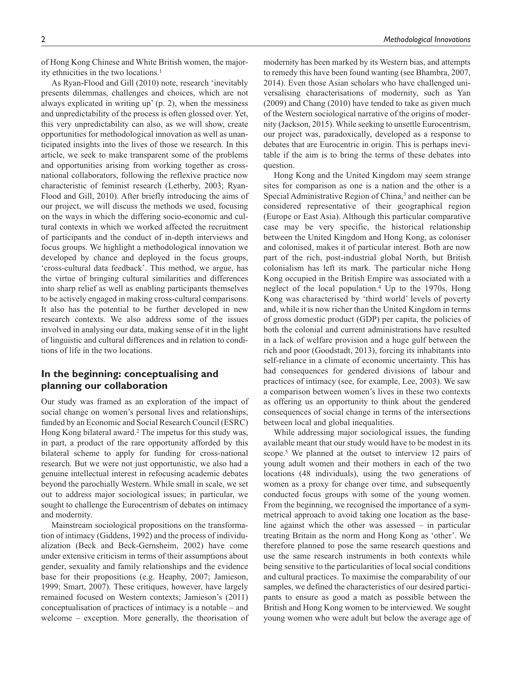ity ethnicities in the two locations.1 As Ryan-Flood and Gill (2010) note, research 'inevitably presents dilemmas, challenges and choices, which are not always explicated in writing up' (p. 2), when the messiness and unpredictability of the process is often glossed over. Yet, this very unpredictability can also, as we will show, create opportunities for methodological innovation as well as unanticipated insights into the lives of those we research. In this article, we seek to make transparent some of the problems and opportunities arising from working together as crossnational collaborators, following the reflexive practice now characteristic of feminist research (Letherby, 2003; Ryan-Flood and Gill, 2010). After briefly introducing the aims of our project, we will discuss the methods we used, focusing on the ways in which the differing socio-economic and cultural contexts in which we worked affected the recruitment of participants and the conduct of in-depth interviews and focus groups. We highlight a methodological innovation we developed by chance and deployed in the focus groups, 'cross-cultural data feedback'. This method, we argue, has the virtue of bringing cultural similarities and differences into sharp relief as well as enabling participants themselves to be actively engaged in making cross-cultural comparisons. It also has the potential to be further developed in new research contexts. We also address some of the issues involved in analysing our data, making sense of it in the light of linguistic and cultural differences and in relation to conditions of life in the two locations.

# **In the beginning: conceptualising and planning our collaboration**

Our study was framed as an exploration of the impact of social change on women's personal lives and relationships, funded by an Economic and Social Research Council (ESRC) Hong Kong bilateral award.2 The impetus for this study was, in part, a product of the rare opportunity afforded by this bilateral scheme to apply for funding for cross-national research. But we were not just opportunistic, we also had a genuine intellectual interest in refocusing academic debates beyond the parochially Western. While small in scale, we set out to address major sociological issues; in particular, we sought to challenge the Eurocentrism of debates on intimacy and modernity.

Mainstream sociological propositions on the transformation of intimacy (Giddens, 1992) and the process of individualization (Beck and Beck-Gernsheim, 2002) have come under extensive criticism in terms of their assumptions about gender, sexuality and family relationships and the evidence base for their propositions (e.g. Heaphy, 2007; Jamieson, 1999; Smart, 2007). These critiques, however, have largely remained focused on Western contexts; Jamieson's (2011) conceptualisation of practices of intimacy is a notable – and welcome – exception. More generally, the theorisation of modernity has been marked by its Western bias, and attempts to remedy this have been found wanting (see Bhambra, 2007, 2014). Even those Asian scholars who have challenged universalising characterisations of modernity, such as Yan (2009) and Chang (2010) have tended to take as given much of the Western sociological narrative of the origins of modernity (Jackson, 2015). While seeking to unsettle Eurocentrism, our project was, paradoxically, developed as a response to debates that are Eurocentric in origin. This is perhaps inevitable if the aim is to bring the terms of these debates into question.

Hong Kong and the United Kingdom may seem strange sites for comparison as one is a nation and the other is a Special Administrative Region of China,<sup>3</sup> and neither can be considered representative of their geographical region (Europe or East Asia). Although this particular comparative case may be very specific, the historical relationship between the United Kingdom and Hong Kong, as coloniser and colonised, makes it of particular interest. Both are now part of the rich, post-industrial global North, but British colonialism has left its mark. The particular niche Hong Kong occupied in the British Empire was associated with a neglect of the local population.4 Up to the 1970s, Hong Kong was characterised by 'third world' levels of poverty and, while it is now richer than the United Kingdom in terms of gross domestic product (GDP) per capita, the policies of both the colonial and current administrations have resulted in a lack of welfare provision and a huge gulf between the rich and poor (Goodstadt, 2013), forcing its inhabitants into self-reliance in a climate of economic uncertainty. This has had consequences for gendered divisions of labour and practices of intimacy (see, for example, Lee, 2003). We saw a comparison between women's lives in these two contexts as offering us an opportunity to think about the gendered consequences of social change in terms of the intersections between local and global inequalities.

While addressing major sociological issues, the funding available meant that our study would have to be modest in its scope.<sup>5</sup> We planned at the outset to interview 12 pairs of young adult women and their mothers in each of the two locations (48 individuals), using the two generations of women as a proxy for change over time, and subsequently conducted focus groups with some of the young women. From the beginning, we recognised the importance of a symmetrical approach to avoid taking one location as the baseline against which the other was assessed – in particular treating Britain as the norm and Hong Kong as 'other'. We therefore planned to pose the same research questions and use the same research instruments in both contexts while being sensitive to the particularities of local social conditions and cultural practices. To maximise the comparability of our samples, we defined the characteristics of our desired participants to ensure as good a match as possible between the British and Hong Kong women to be interviewed. We sought young women who were adult but below the average age of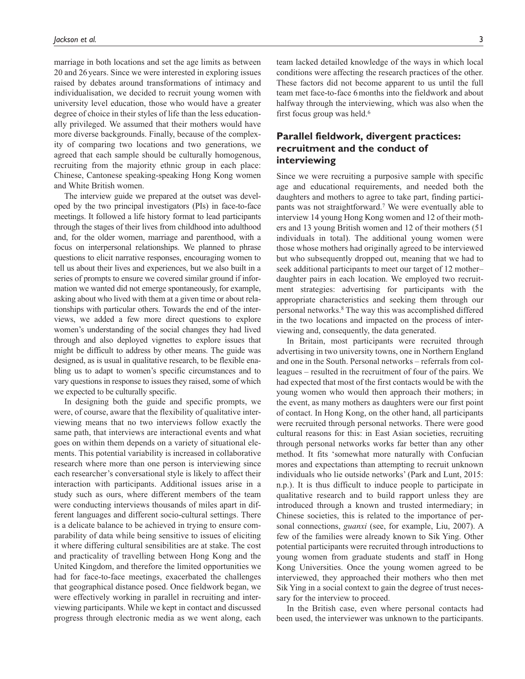marriage in both locations and set the age limits as between 20 and 26 years. Since we were interested in exploring issues raised by debates around transformations of intimacy and individualisation, we decided to recruit young women with university level education, those who would have a greater degree of choice in their styles of life than the less educationally privileged. We assumed that their mothers would have more diverse backgrounds. Finally, because of the complexity of comparing two locations and two generations, we agreed that each sample should be culturally homogenous, recruiting from the majority ethnic group in each place: Chinese, Cantonese speaking-speaking Hong Kong women and White British women.

The interview guide we prepared at the outset was developed by the two principal investigators (PIs) in face-to-face meetings. It followed a life history format to lead participants through the stages of their lives from childhood into adulthood and, for the older women, marriage and parenthood, with a focus on interpersonal relationships. We planned to phrase questions to elicit narrative responses, encouraging women to tell us about their lives and experiences, but we also built in a series of prompts to ensure we covered similar ground if information we wanted did not emerge spontaneously, for example, asking about who lived with them at a given time or about relationships with particular others. Towards the end of the interviews, we added a few more direct questions to explore women's understanding of the social changes they had lived through and also deployed vignettes to explore issues that might be difficult to address by other means. The guide was designed, as is usual in qualitative research, to be flexible enabling us to adapt to women's specific circumstances and to vary questions in response to issues they raised, some of which we expected to be culturally specific.

In designing both the guide and specific prompts, we were, of course, aware that the flexibility of qualitative interviewing means that no two interviews follow exactly the same path, that interviews are interactional events and what goes on within them depends on a variety of situational elements. This potential variability is increased in collaborative research where more than one person is interviewing since each researcher's conversational style is likely to affect their interaction with participants. Additional issues arise in a study such as ours, where different members of the team were conducting interviews thousands of miles apart in different languages and different socio-cultural settings. There is a delicate balance to be achieved in trying to ensure comparability of data while being sensitive to issues of eliciting it where differing cultural sensibilities are at stake. The cost and practicality of travelling between Hong Kong and the United Kingdom, and therefore the limited opportunities we had for face-to-face meetings, exacerbated the challenges that geographical distance posed. Once fieldwork began, we were effectively working in parallel in recruiting and interviewing participants. While we kept in contact and discussed progress through electronic media as we went along, each

team lacked detailed knowledge of the ways in which local conditions were affecting the research practices of the other. These factors did not become apparent to us until the full team met face-to-face 6months into the fieldwork and about halfway through the interviewing, which was also when the first focus group was held.6

# **Parallel fieldwork, divergent practices: recruitment and the conduct of interviewing**

Since we were recruiting a purposive sample with specific age and educational requirements, and needed both the daughters and mothers to agree to take part, finding participants was not straightforward.7 We were eventually able to interview 14 young Hong Kong women and 12 of their mothers and 13 young British women and 12 of their mothers (51 individuals in total). The additional young women were those whose mothers had originally agreed to be interviewed but who subsequently dropped out, meaning that we had to seek additional participants to meet our target of 12 mother– daughter pairs in each location. We employed two recruitment strategies: advertising for participants with the appropriate characteristics and seeking them through our personal networks.8 The way this was accomplished differed in the two locations and impacted on the process of interviewing and, consequently, the data generated.

In Britain, most participants were recruited through advertising in two university towns, one in Northern England and one in the South. Personal networks – referrals from colleagues – resulted in the recruitment of four of the pairs. We had expected that most of the first contacts would be with the young women who would then approach their mothers; in the event, as many mothers as daughters were our first point of contact. In Hong Kong, on the other hand, all participants were recruited through personal networks. There were good cultural reasons for this: in East Asian societies, recruiting through personal networks works far better than any other method. It fits 'somewhat more naturally with Confucian mores and expectations than attempting to recruit unknown individuals who lie outside networks' (Park and Lunt, 2015: n.p.). It is thus difficult to induce people to participate in qualitative research and to build rapport unless they are introduced through a known and trusted intermediary; in Chinese societies, this is related to the importance of personal connections, *guanxi* (see, for example, Liu, 2007). A few of the families were already known to Sik Ying. Other potential participants were recruited through introductions to young women from graduate students and staff in Hong Kong Universities. Once the young women agreed to be interviewed, they approached their mothers who then met Sik Ying in a social context to gain the degree of trust necessary for the interview to proceed.

In the British case, even where personal contacts had been used, the interviewer was unknown to the participants.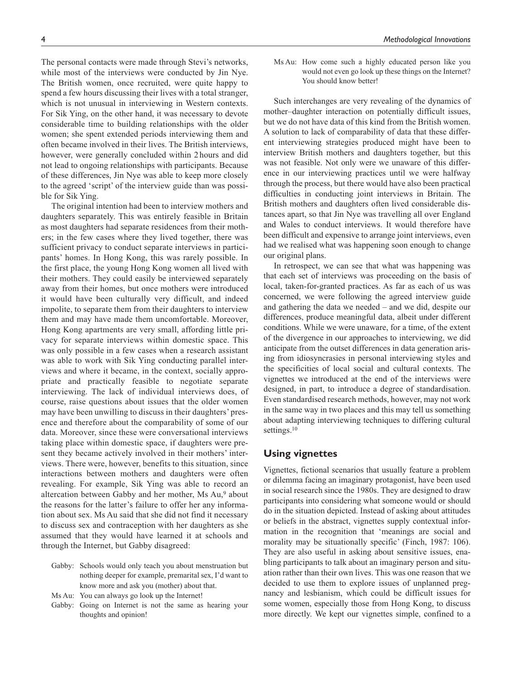The personal contacts were made through Stevi's networks, while most of the interviews were conducted by Jin Nye. The British women, once recruited, were quite happy to spend a few hours discussing their lives with a total stranger, which is not unusual in interviewing in Western contexts. For Sik Ying, on the other hand, it was necessary to devote considerable time to building relationships with the older women; she spent extended periods interviewing them and often became involved in their lives. The British interviews, however, were generally concluded within 2 hours and did not lead to ongoing relationships with participants. Because of these differences, Jin Nye was able to keep more closely to the agreed 'script' of the interview guide than was possible for Sik Ying.

The original intention had been to interview mothers and daughters separately. This was entirely feasible in Britain as most daughters had separate residences from their mothers; in the few cases where they lived together, there was sufficient privacy to conduct separate interviews in participants' homes. In Hong Kong, this was rarely possible. In the first place, the young Hong Kong women all lived with their mothers. They could easily be interviewed separately away from their homes, but once mothers were introduced it would have been culturally very difficult, and indeed impolite, to separate them from their daughters to interview them and may have made them uncomfortable. Moreover, Hong Kong apartments are very small, affording little privacy for separate interviews within domestic space. This was only possible in a few cases when a research assistant was able to work with Sik Ying conducting parallel interviews and where it became, in the context, socially appropriate and practically feasible to negotiate separate interviewing. The lack of individual interviews does, of course, raise questions about issues that the older women may have been unwilling to discuss in their daughters' presence and therefore about the comparability of some of our data. Moreover, since these were conversational interviews taking place within domestic space, if daughters were present they became actively involved in their mothers' interviews. There were, however, benefits to this situation, since interactions between mothers and daughters were often revealing. For example, Sik Ying was able to record an altercation between Gabby and her mother, Ms Au,<sup>9</sup> about the reasons for the latter's failure to offer her any information about sex. Ms Au said that she did not find it necessary to discuss sex and contraception with her daughters as she assumed that they would have learned it at schools and through the Internet, but Gabby disagreed:

Gabby: Schools would only teach you about menstruation but nothing deeper for example, premarital sex, I'd want to know more and ask you (mother) about that.

Ms Au: You can always go look up the Internet!

Gabby: Going on Internet is not the same as hearing your thoughts and opinion!

Ms Au: How come such a highly educated person like you would not even go look up these things on the Internet? You should know better!

Such interchanges are very revealing of the dynamics of mother–daughter interaction on potentially difficult issues, but we do not have data of this kind from the British women. A solution to lack of comparability of data that these different interviewing strategies produced might have been to interview British mothers and daughters together, but this was not feasible. Not only were we unaware of this difference in our interviewing practices until we were halfway through the process, but there would have also been practical difficulties in conducting joint interviews in Britain. The British mothers and daughters often lived considerable distances apart, so that Jin Nye was travelling all over England and Wales to conduct interviews. It would therefore have been difficult and expensive to arrange joint interviews, even had we realised what was happening soon enough to change our original plans.

In retrospect, we can see that what was happening was that each set of interviews was proceeding on the basis of local, taken-for-granted practices. As far as each of us was concerned, we were following the agreed interview guide and gathering the data we needed – and we did, despite our differences, produce meaningful data, albeit under different conditions. While we were unaware, for a time, of the extent of the divergence in our approaches to interviewing, we did anticipate from the outset differences in data generation arising from idiosyncrasies in personal interviewing styles and the specificities of local social and cultural contexts. The vignettes we introduced at the end of the interviews were designed, in part, to introduce a degree of standardisation. Even standardised research methods, however, may not work in the same way in two places and this may tell us something about adapting interviewing techniques to differing cultural settings.<sup>10</sup>

## **Using vignettes**

Vignettes, fictional scenarios that usually feature a problem or dilemma facing an imaginary protagonist, have been used in social research since the 1980s. They are designed to draw participants into considering what someone would or should do in the situation depicted. Instead of asking about attitudes or beliefs in the abstract, vignettes supply contextual information in the recognition that 'meanings are social and morality may be situationally specific' (Finch, 1987: 106). They are also useful in asking about sensitive issues, enabling participants to talk about an imaginary person and situation rather than their own lives. This was one reason that we decided to use them to explore issues of unplanned pregnancy and lesbianism, which could be difficult issues for some women, especially those from Hong Kong, to discuss more directly. We kept our vignettes simple, confined to a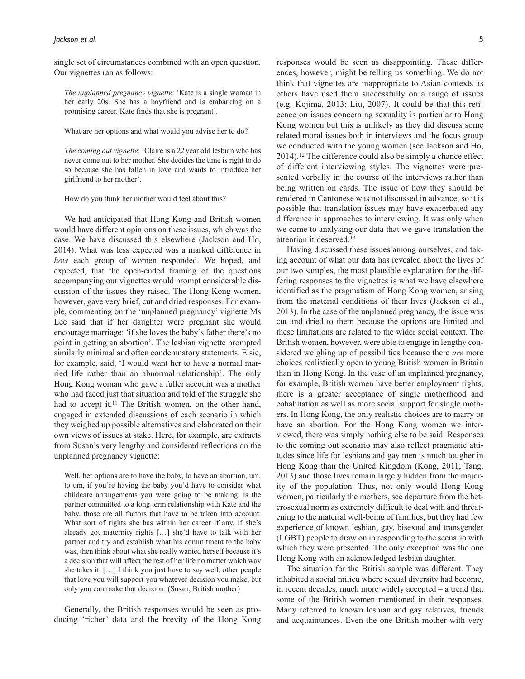single set of circumstances combined with an open question. Our vignettes ran as follows:

*The unplanned pregnancy vignette*: 'Kate is a single woman in her early 20s. She has a boyfriend and is embarking on a promising career. Kate finds that she is pregnant'.

What are her options and what would you advise her to do?

*The coming out vignette*: 'Claire is a 22 year old lesbian who has never come out to her mother. She decides the time is right to do so because she has fallen in love and wants to introduce her girlfriend to her mother'.

How do you think her mother would feel about this?

We had anticipated that Hong Kong and British women would have different opinions on these issues, which was the case. We have discussed this elsewhere (Jackson and Ho, 2014). What was less expected was a marked difference in *how* each group of women responded. We hoped, and expected, that the open-ended framing of the questions accompanying our vignettes would prompt considerable discussion of the issues they raised. The Hong Kong women, however, gave very brief, cut and dried responses. For example, commenting on the 'unplanned pregnancy' vignette Ms Lee said that if her daughter were pregnant she would encourage marriage: 'if she loves the baby's father there's no point in getting an abortion'. The lesbian vignette prompted similarly minimal and often condemnatory statements. Elsie, for example, said, 'I would want her to have a normal married life rather than an abnormal relationship'. The only Hong Kong woman who gave a fuller account was a mother who had faced just that situation and told of the struggle she had to accept it.<sup>11</sup> The British women, on the other hand, engaged in extended discussions of each scenario in which they weighed up possible alternatives and elaborated on their own views of issues at stake. Here, for example, are extracts from Susan's very lengthy and considered reflections on the unplanned pregnancy vignette:

Well, her options are to have the baby, to have an abortion, um, to um, if you're having the baby you'd have to consider what childcare arrangements you were going to be making, is the partner committed to a long term relationship with Kate and the baby, those are all factors that have to be taken into account. What sort of rights she has within her career if any, if she's already got maternity rights […] she'd have to talk with her partner and try and establish what his commitment to the baby was, then think about what she really wanted herself because it's a decision that will affect the rest of her life no matter which way she takes it. […] I think you just have to say well, other people that love you will support you whatever decision you make, but only you can make that decision. (Susan, British mother)

Generally, the British responses would be seen as producing 'richer' data and the brevity of the Hong Kong responses would be seen as disappointing. These differences, however, might be telling us something. We do not think that vignettes are inappropriate to Asian contexts as others have used them successfully on a range of issues (e.g. Kojima, 2013; Liu, 2007). It could be that this reticence on issues concerning sexuality is particular to Hong Kong women but this is unlikely as they did discuss some related moral issues both in interviews and the focus group we conducted with the young women (see Jackson and Ho, 2014).12 The difference could also be simply a chance effect of different interviewing styles. The vignettes were presented verbally in the course of the interviews rather than being written on cards. The issue of how they should be rendered in Cantonese was not discussed in advance, so it is possible that translation issues may have exacerbated any difference in approaches to interviewing. It was only when we came to analysing our data that we gave translation the attention it deserved.13

Having discussed these issues among ourselves, and taking account of what our data has revealed about the lives of our two samples, the most plausible explanation for the differing responses to the vignettes is what we have elsewhere identified as the pragmatism of Hong Kong women, arising from the material conditions of their lives (Jackson et al., 2013). In the case of the unplanned pregnancy, the issue was cut and dried to them because the options are limited and these limitations are related to the wider social context. The British women, however, were able to engage in lengthy considered weighing up of possibilities because there *are* more choices realistically open to young British women in Britain than in Hong Kong. In the case of an unplanned pregnancy, for example, British women have better employment rights, there is a greater acceptance of single motherhood and cohabitation as well as more social support for single mothers. In Hong Kong, the only realistic choices are to marry or have an abortion. For the Hong Kong women we interviewed, there was simply nothing else to be said. Responses to the coming out scenario may also reflect pragmatic attitudes since life for lesbians and gay men is much tougher in Hong Kong than the United Kingdom (Kong, 2011; Tang, 2013) and those lives remain largely hidden from the majority of the population. Thus, not only would Hong Kong women, particularly the mothers, see departure from the heterosexual norm as extremely difficult to deal with and threatening to the material well-being of families, but they had few experience of known lesbian, gay, bisexual and transgender (LGBT) people to draw on in responding to the scenario with which they were presented. The only exception was the one Hong Kong with an acknowledged lesbian daughter.

The situation for the British sample was different. They inhabited a social milieu where sexual diversity had become, in recent decades, much more widely accepted – a trend that some of the British women mentioned in their responses. Many referred to known lesbian and gay relatives, friends and acquaintances. Even the one British mother with very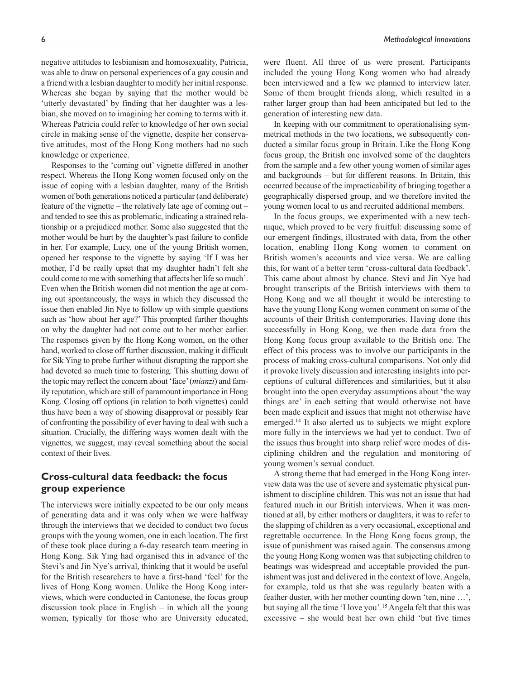negative attitudes to lesbianism and homosexuality, Patricia, was able to draw on personal experiences of a gay cousin and a friend with a lesbian daughter to modify her initial response. Whereas she began by saying that the mother would be 'utterly devastated' by finding that her daughter was a lesbian, she moved on to imagining her coming to terms with it. Whereas Patricia could refer to knowledge of her own social circle in making sense of the vignette, despite her conservative attitudes, most of the Hong Kong mothers had no such knowledge or experience.

Responses to the 'coming out' vignette differed in another respect. Whereas the Hong Kong women focused only on the issue of coping with a lesbian daughter, many of the British women of both generations noticed a particular (and deliberate) feature of the vignette – the relatively late age of coming out – and tended to see this as problematic, indicating a strained relationship or a prejudiced mother. Some also suggested that the mother would be hurt by the daughter's past failure to confide in her. For example, Lucy, one of the young British women, opened her response to the vignette by saying 'If I was her mother, I'd be really upset that my daughter hadn't felt she could come to me with something that affects her life so much'. Even when the British women did not mention the age at coming out spontaneously, the ways in which they discussed the issue then enabled Jin Nye to follow up with simple questions such as 'how about her age?' This prompted further thoughts on why the daughter had not come out to her mother earlier. The responses given by the Hong Kong women, on the other hand, worked to close off further discussion, making it difficult for Sik Ying to probe further without disrupting the rapport she had devoted so much time to fostering. This shutting down of the topic may reflect the concern about 'face' (*mianzi*) and family reputation, which are still of paramount importance in Hong Kong. Closing off options (in relation to both vignettes) could thus have been a way of showing disapproval or possibly fear of confronting the possibility of ever having to deal with such a situation. Crucially, the differing ways women dealt with the vignettes, we suggest, may reveal something about the social context of their lives.

# **Cross-cultural data feedback: the focus group experience**

The interviews were initially expected to be our only means of generating data and it was only when we were halfway through the interviews that we decided to conduct two focus groups with the young women, one in each location. The first of these took place during a 6-day research team meeting in Hong Kong. Sik Ying had organised this in advance of the Stevi's and Jin Nye's arrival, thinking that it would be useful for the British researchers to have a first-hand 'feel' for the lives of Hong Kong women. Unlike the Hong Kong interviews, which were conducted in Cantonese, the focus group discussion took place in English – in which all the young women, typically for those who are University educated,

were fluent. All three of us were present. Participants included the young Hong Kong women who had already been interviewed and a few we planned to interview later. Some of them brought friends along, which resulted in a rather larger group than had been anticipated but led to the generation of interesting new data.

In keeping with our commitment to operationalising symmetrical methods in the two locations, we subsequently conducted a similar focus group in Britain. Like the Hong Kong focus group, the British one involved some of the daughters from the sample and a few other young women of similar ages and backgrounds – but for different reasons. In Britain, this occurred because of the impracticability of bringing together a geographically dispersed group, and we therefore invited the young women local to us and recruited additional members.

In the focus groups, we experimented with a new technique, which proved to be very fruitful: discussing some of our emergent findings, illustrated with data, from the other location, enabling Hong Kong women to comment on British women's accounts and vice versa. We are calling this, for want of a better term 'cross-cultural data feedback'. This came about almost by chance. Stevi and Jin Nye had brought transcripts of the British interviews with them to Hong Kong and we all thought it would be interesting to have the young Hong Kong women comment on some of the accounts of their British contemporaries. Having done this successfully in Hong Kong, we then made data from the Hong Kong focus group available to the British one. The effect of this process was to involve our participants in the process of making cross-cultural comparisons. Not only did it provoke lively discussion and interesting insights into perceptions of cultural differences and similarities, but it also brought into the open everyday assumptions about 'the way things are' in each setting that would otherwise not have been made explicit and issues that might not otherwise have emerged.14 It also alerted us to subjects we might explore more fully in the interviews we had yet to conduct. Two of the issues thus brought into sharp relief were modes of disciplining children and the regulation and monitoring of young women's sexual conduct.

A strong theme that had emerged in the Hong Kong interview data was the use of severe and systematic physical punishment to discipline children. This was not an issue that had featured much in our British interviews. When it was mentioned at all, by either mothers or daughters, it was to refer to the slapping of children as a very occasional, exceptional and regrettable occurrence. In the Hong Kong focus group, the issue of punishment was raised again. The consensus among the young Hong Kong women was that subjecting children to beatings was widespread and acceptable provided the punishment was just and delivered in the context of love. Angela, for example, told us that she was regularly beaten with a feather duster, with her mother counting down 'ten, nine …', but saying all the time 'I love you'.15 Angela felt that this was excessive – she would beat her own child 'but five times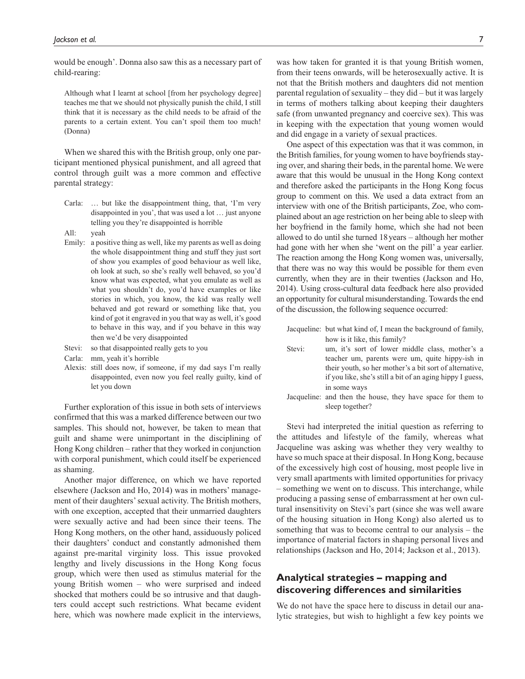would be enough'. Donna also saw this as a necessary part of child-rearing:

Although what I learnt at school [from her psychology degree] teaches me that we should not physically punish the child, I still think that it is necessary as the child needs to be afraid of the parents to a certain extent. You can't spoil them too much! (Donna)

When we shared this with the British group, only one participant mentioned physical punishment, and all agreed that control through guilt was a more common and effective parental strategy:

Carla: … but like the disappointment thing, that, 'I'm very disappointed in you', that was used a lot … just anyone telling you they're disappointed is horrible

All: yeah

- Emily: a positive thing as well, like my parents as well as doing the whole disappointment thing and stuff they just sort of show you examples of good behaviour as well like, oh look at such, so she's really well behaved, so you'd know what was expected, what you emulate as well as what you shouldn't do, you'd have examples or like stories in which, you know, the kid was really well behaved and got reward or something like that, you kind of got it engraved in you that way as well, it's good to behave in this way, and if you behave in this way then we'd be very disappointed
- Stevi: so that disappointed really gets to you
- Carla: mm, yeah it's horrible
- Alexis: still does now, if someone, if my dad says I'm really disappointed, even now you feel really guilty, kind of let you down

Further exploration of this issue in both sets of interviews confirmed that this was a marked difference between our two samples. This should not, however, be taken to mean that guilt and shame were unimportant in the disciplining of Hong Kong children – rather that they worked in conjunction with corporal punishment, which could itself be experienced as shaming.

Another major difference, on which we have reported elsewhere (Jackson and Ho, 2014) was in mothers' management of their daughters' sexual activity. The British mothers, with one exception, accepted that their unmarried daughters were sexually active and had been since their teens. The Hong Kong mothers, on the other hand, assiduously policed their daughters' conduct and constantly admonished them against pre-marital virginity loss. This issue provoked lengthy and lively discussions in the Hong Kong focus group, which were then used as stimulus material for the young British women – who were surprised and indeed shocked that mothers could be so intrusive and that daughters could accept such restrictions. What became evident here, which was nowhere made explicit in the interviews,

was how taken for granted it is that young British women, from their teens onwards, will be heterosexually active. It is not that the British mothers and daughters did not mention parental regulation of sexuality – they did – but it was largely in terms of mothers talking about keeping their daughters safe (from unwanted pregnancy and coercive sex). This was in keeping with the expectation that young women would and did engage in a variety of sexual practices.

One aspect of this expectation was that it was common, in the British families, for young women to have boyfriends staying over, and sharing their beds, in the parental home. We were aware that this would be unusual in the Hong Kong context and therefore asked the participants in the Hong Kong focus group to comment on this. We used a data extract from an interview with one of the British participants, Zoe, who complained about an age restriction on her being able to sleep with her boyfriend in the family home, which she had not been allowed to do until she turned 18years – although her mother had gone with her when she 'went on the pill' a year earlier. The reaction among the Hong Kong women was, universally, that there was no way this would be possible for them even currently, when they are in their twenties (Jackson and Ho, 2014). Using cross-cultural data feedback here also provided an opportunity for cultural misunderstanding. Towards the end of the discussion, the following sequence occurred:

|        | Jacqueline: but what kind of, I mean the background of family, |
|--------|----------------------------------------------------------------|
|        | how is it like, this family?                                   |
| Stevi: | um, it's sort of lower middle class, mother's a                |
|        | teacher um, parents were um, quite hippy-ish in                |
|        | their youth, so her mother's a bit sort of alternative,        |
|        | if you like, she's still a bit of an aging hippy I guess,      |
|        | in some ways                                                   |
|        | Jacqueline: and then the house, they have space for them to    |

sleep together?

Stevi had interpreted the initial question as referring to the attitudes and lifestyle of the family, whereas what Jacqueline was asking was whether they very wealthy to have so much space at their disposal. In Hong Kong, because of the excessively high cost of housing, most people live in very small apartments with limited opportunities for privacy – something we went on to discuss. This interchange, while producing a passing sense of embarrassment at her own cultural insensitivity on Stevi's part (since she was well aware of the housing situation in Hong Kong) also alerted us to something that was to become central to our analysis – the importance of material factors in shaping personal lives and relationships (Jackson and Ho, 2014; Jackson et al., 2013).

# **Analytical strategies – mapping and discovering differences and similarities**

We do not have the space here to discuss in detail our analytic strategies, but wish to highlight a few key points we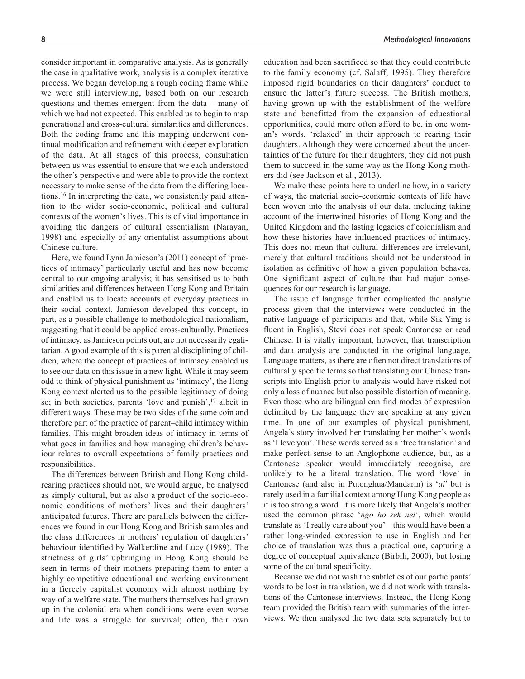consider important in comparative analysis. As is generally the case in qualitative work, analysis is a complex iterative process. We began developing a rough coding frame while we were still interviewing, based both on our research questions and themes emergent from the data – many of which we had not expected. This enabled us to begin to map generational and cross-cultural similarities and differences. Both the coding frame and this mapping underwent continual modification and refinement with deeper exploration of the data. At all stages of this process, consultation between us was essential to ensure that we each understood the other's perspective and were able to provide the context necessary to make sense of the data from the differing locations.16 In interpreting the data, we consistently paid attention to the wider socio-economic, political and cultural contexts of the women's lives. This is of vital importance in avoiding the dangers of cultural essentialism (Narayan, 1998) and especially of any orientalist assumptions about Chinese culture.

Here, we found Lynn Jamieson's (2011) concept of 'practices of intimacy' particularly useful and has now become central to our ongoing analysis; it has sensitised us to both similarities and differences between Hong Kong and Britain and enabled us to locate accounts of everyday practices in their social context. Jamieson developed this concept, in part, as a possible challenge to methodological nationalism, suggesting that it could be applied cross-culturally. Practices of intimacy, as Jamieson points out, are not necessarily egalitarian. A good example of this is parental disciplining of children, where the concept of practices of intimacy enabled us to see our data on this issue in a new light. While it may seem odd to think of physical punishment as 'intimacy', the Hong Kong context alerted us to the possible legitimacy of doing so; in both societies, parents 'love and punish',<sup>17</sup> albeit in different ways. These may be two sides of the same coin and therefore part of the practice of parent–child intimacy within families. This might broaden ideas of intimacy in terms of what goes in families and how managing children's behaviour relates to overall expectations of family practices and responsibilities.

The differences between British and Hong Kong childrearing practices should not, we would argue, be analysed as simply cultural, but as also a product of the socio-economic conditions of mothers' lives and their daughters' anticipated futures. There are parallels between the differences we found in our Hong Kong and British samples and the class differences in mothers' regulation of daughters' behaviour identified by Walkerdine and Lucy (1989). The strictness of girls' upbringing in Hong Kong should be seen in terms of their mothers preparing them to enter a highly competitive educational and working environment in a fiercely capitalist economy with almost nothing by way of a welfare state. The mothers themselves had grown up in the colonial era when conditions were even worse and life was a struggle for survival; often, their own

education had been sacrificed so that they could contribute to the family economy (cf. Salaff, 1995). They therefore imposed rigid boundaries on their daughters' conduct to ensure the latter's future success. The British mothers, having grown up with the establishment of the welfare state and benefitted from the expansion of educational opportunities, could more often afford to be, in one woman's words, 'relaxed' in their approach to rearing their daughters. Although they were concerned about the uncertainties of the future for their daughters, they did not push them to succeed in the same way as the Hong Kong mothers did (see Jackson et al., 2013).

We make these points here to underline how, in a variety of ways, the material socio-economic contexts of life have been woven into the analysis of our data, including taking account of the intertwined histories of Hong Kong and the United Kingdom and the lasting legacies of colonialism and how these histories have influenced practices of intimacy. This does not mean that cultural differences are irrelevant, merely that cultural traditions should not be understood in isolation as definitive of how a given population behaves. One significant aspect of culture that had major consequences for our research is language.

The issue of language further complicated the analytic process given that the interviews were conducted in the native language of participants and that, while Sik Ying is fluent in English, Stevi does not speak Cantonese or read Chinese. It is vitally important, however, that transcription and data analysis are conducted in the original language. Language matters, as there are often not direct translations of culturally specific terms so that translating our Chinese transcripts into English prior to analysis would have risked not only a loss of nuance but also possible distortion of meaning. Even those who are bilingual can find modes of expression delimited by the language they are speaking at any given time. In one of our examples of physical punishment, Angela's story involved her translating her mother's words as 'I love you'. These words served as a 'free translation' and make perfect sense to an Anglophone audience, but, as a Cantonese speaker would immediately recognise, are unlikely to be a literal translation. The word 'love' in Cantonese (and also in Putonghua/Mandarin) is '*ai*' but is rarely used in a familial context among Hong Kong people as it is too strong a word. It is more likely that Angela's mother used the common phrase '*ngo ho sek nei*', which would translate as 'I really care about you' – this would have been a rather long-winded expression to use in English and her choice of translation was thus a practical one, capturing a degree of conceptual equivalence (Birbili, 2000), but losing some of the cultural specificity.

Because we did not wish the subtleties of our participants' words to be lost in translation, we did not work with translations of the Cantonese interviews. Instead, the Hong Kong team provided the British team with summaries of the interviews. We then analysed the two data sets separately but to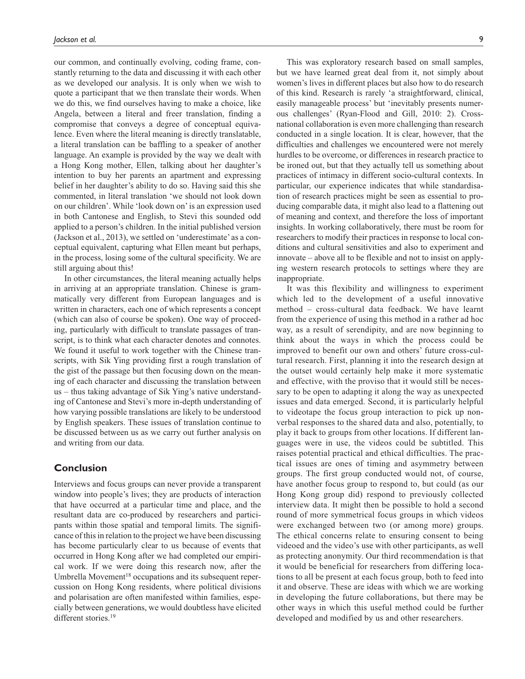our common, and continually evolving, coding frame, constantly returning to the data and discussing it with each other as we developed our analysis. It is only when we wish to quote a participant that we then translate their words. When we do this, we find ourselves having to make a choice, like Angela, between a literal and freer translation, finding a compromise that conveys a degree of conceptual equivalence. Even where the literal meaning is directly translatable, a literal translation can be baffling to a speaker of another language. An example is provided by the way we dealt with a Hong Kong mother, Ellen, talking about her daughter's intention to buy her parents an apartment and expressing belief in her daughter's ability to do so. Having said this she commented, in literal translation 'we should not look down on our children'. While 'look down on' is an expression used in both Cantonese and English, to Stevi this sounded odd applied to a person's children. In the initial published version (Jackson et al., 2013), we settled on 'underestimate' as a conceptual equivalent, capturing what Ellen meant but perhaps, in the process, losing some of the cultural specificity. We are still arguing about this!

In other circumstances, the literal meaning actually helps in arriving at an appropriate translation. Chinese is grammatically very different from European languages and is written in characters, each one of which represents a concept (which can also of course be spoken). One way of proceeding, particularly with difficult to translate passages of transcript, is to think what each character denotes and connotes. We found it useful to work together with the Chinese transcripts, with Sik Ying providing first a rough translation of the gist of the passage but then focusing down on the meaning of each character and discussing the translation between us – thus taking advantage of Sik Ying's native understanding of Cantonese and Stevi's more in-depth understanding of how varying possible translations are likely to be understood by English speakers. These issues of translation continue to be discussed between us as we carry out further analysis on and writing from our data.

# **Conclusion**

Interviews and focus groups can never provide a transparent window into people's lives; they are products of interaction that have occurred at a particular time and place, and the resultant data are co-produced by researchers and participants within those spatial and temporal limits. The significance of this in relation to the project we have been discussing has become particularly clear to us because of events that occurred in Hong Kong after we had completed our empirical work. If we were doing this research now, after the Umbrella Movement<sup>18</sup> occupations and its subsequent repercussion on Hong Kong residents, where political divisions and polarisation are often manifested within families, especially between generations, we would doubtless have elicited different stories.<sup>19</sup>

This was exploratory research based on small samples, but we have learned great deal from it, not simply about women's lives in different places but also how to do research of this kind. Research is rarely 'a straightforward, clinical, easily manageable process' but 'inevitably presents numerous challenges' (Ryan-Flood and Gill, 2010: 2). Crossnational collaboration is even more challenging than research conducted in a single location. It is clear, however, that the difficulties and challenges we encountered were not merely hurdles to be overcome, or differences in research practice to be ironed out, but that they actually tell us something about practices of intimacy in different socio-cultural contexts. In particular, our experience indicates that while standardisation of research practices might be seen as essential to producing comparable data, it might also lead to a flattening out of meaning and context, and therefore the loss of important insights. In working collaboratively, there must be room for researchers to modify their practices in response to local conditions and cultural sensitivities and also to experiment and innovate – above all to be flexible and not to insist on applying western research protocols to settings where they are inappropriate.

It was this flexibility and willingness to experiment which led to the development of a useful innovative method – cross-cultural data feedback. We have learnt from the experience of using this method in a rather ad hoc way, as a result of serendipity, and are now beginning to think about the ways in which the process could be improved to benefit our own and others' future cross-cultural research. First, planning it into the research design at the outset would certainly help make it more systematic and effective, with the proviso that it would still be necessary to be open to adapting it along the way as unexpected issues and data emerged. Second, it is particularly helpful to videotape the focus group interaction to pick up nonverbal responses to the shared data and also, potentially, to play it back to groups from other locations. If different languages were in use, the videos could be subtitled. This raises potential practical and ethical difficulties. The practical issues are ones of timing and asymmetry between groups. The first group conducted would not, of course, have another focus group to respond to, but could (as our Hong Kong group did) respond to previously collected interview data. It might then be possible to hold a second round of more symmetrical focus groups in which videos were exchanged between two (or among more) groups. The ethical concerns relate to ensuring consent to being videoed and the video's use with other participants, as well as protecting anonymity. Our third recommendation is that it would be beneficial for researchers from differing locations to all be present at each focus group, both to feed into it and observe. These are ideas with which we are working in developing the future collaborations, but there may be other ways in which this useful method could be further developed and modified by us and other researchers.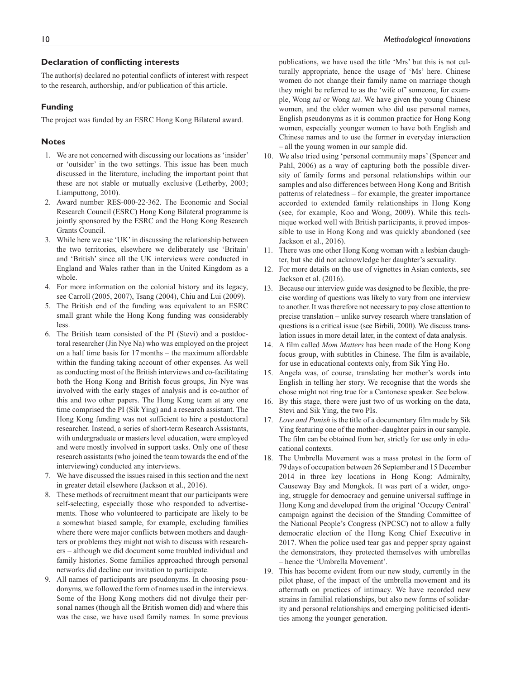#### **Declaration of conflicting interests**

The author(s) declared no potential conflicts of interest with respect to the research, authorship, and/or publication of this article.

#### **Funding**

The project was funded by an ESRC Hong Kong Bilateral award.

#### **Notes**

- 1. We are not concerned with discussing our locations as 'insider' or 'outsider' in the two settings. This issue has been much discussed in the literature, including the important point that these are not stable or mutually exclusive (Letherby, 2003; Liamputtong, 2010).
- 2. Award number RES-000-22-362. The Economic and Social Research Council (ESRC) Hong Kong Bilateral programme is jointly sponsored by the ESRC and the Hong Kong Research Grants Council.
- 3. While here we use 'UK' in discussing the relationship between the two territories, elsewhere we deliberately use 'Britain' and 'British' since all the UK interviews were conducted in England and Wales rather than in the United Kingdom as a whole.
- 4. For more information on the colonial history and its legacy, see Carroll (2005, 2007), Tsang (2004), Chiu and Lui (2009).
- 5. The British end of the funding was equivalent to an ESRC small grant while the Hong Kong funding was considerably less.
- 6. The British team consisted of the PI (Stevi) and a postdoctoral researcher (Jin Nye Na) who was employed on the project on a half time basis for 17months – the maximum affordable within the funding taking account of other expenses. As well as conducting most of the British interviews and co-facilitating both the Hong Kong and British focus groups, Jin Nye was involved with the early stages of analysis and is co-author of this and two other papers. The Hong Kong team at any one time comprised the PI (Sik Ying) and a research assistant. The Hong Kong funding was not sufficient to hire a postdoctoral researcher. Instead, a series of short-term Research Assistants, with undergraduate or masters level education, were employed and were mostly involved in support tasks. Only one of these research assistants (who joined the team towards the end of the interviewing) conducted any interviews.
- 7. We have discussed the issues raised in this section and the next in greater detail elsewhere (Jackson et al., 2016).
- 8. These methods of recruitment meant that our participants were self-selecting, especially those who responded to advertisements. Those who volunteered to participate are likely to be a somewhat biased sample, for example, excluding families where there were major conflicts between mothers and daughters or problems they might not wish to discuss with researchers – although we did document some troubled individual and family histories. Some families approached through personal networks did decline our invitation to participate.
- 9. All names of participants are pseudonyms. In choosing pseudonyms, we followed the form of names used in the interviews. Some of the Hong Kong mothers did not divulge their personal names (though all the British women did) and where this was the case, we have used family names. In some previous

publications, we have used the title 'Mrs' but this is not culturally appropriate, hence the usage of 'Ms' here. Chinese women do not change their family name on marriage though they might be referred to as the 'wife of' someone, for example, Wong *tai* or Wong *tai*. We have given the young Chinese women, and the older women who did use personal names, English pseudonyms as it is common practice for Hong Kong women, especially younger women to have both English and Chinese names and to use the former in everyday interaction – all the young women in our sample did.

- 10. We also tried using 'personal community maps' (Spencer and Pahl, 2006) as a way of capturing both the possible diversity of family forms and personal relationships within our samples and also differences between Hong Kong and British patterns of relatedness – for example, the greater importance accorded to extended family relationships in Hong Kong (see, for example, Koo and Wong, 2009). While this technique worked well with British participants, it proved impossible to use in Hong Kong and was quickly abandoned (see Jackson et al., 2016).
- 11. There was one other Hong Kong woman with a lesbian daughter, but she did not acknowledge her daughter's sexuality.
- 12. For more details on the use of vignettes in Asian contexts, see Jackson et al. (2016).
- 13. Because our interview guide was designed to be flexible, the precise wording of questions was likely to vary from one interview to another. It was therefore not necessary to pay close attention to precise translation – unlike survey research where translation of questions is a critical issue (see Birbili, 2000). We discuss translation issues in more detail later, in the context of data analysis.
- 14. A film called *Mom Matters* has been made of the Hong Kong focus group, with subtitles in Chinese. The film is available, for use in educational contexts only, from Sik Ying Ho.
- 15. Angela was, of course, translating her mother's words into English in telling her story. We recognise that the words she chose might not ring true for a Cantonese speaker. See below.
- 16. By this stage, there were just two of us working on the data, Stevi and Sik Ying, the two PIs.
- 17. *Love and Punish* is the title of a documentary film made by Sik Ying featuring one of the mother–daughter pairs in our sample. The film can be obtained from her, strictly for use only in educational contexts.
- 18. The Umbrella Movement was a mass protest in the form of 79days of occupation between 26 September and 15 December 2014 in three key locations in Hong Kong: Admiralty, Causeway Bay and Mongkok. It was part of a wider, ongoing, struggle for democracy and genuine universal suffrage in Hong Kong and developed from the original 'Occupy Central' campaign against the decision of the Standing Committee of the National People's Congress (NPCSC) not to allow a fully democratic election of the Hong Kong Chief Executive in 2017. When the police used tear gas and pepper spray against the demonstrators, they protected themselves with umbrellas – hence the 'Umbrella Movement'.
- 19. This has become evident from our new study, currently in the pilot phase, of the impact of the umbrella movement and its aftermath on practices of intimacy. We have recorded new strains in familial relationships, but also new forms of solidarity and personal relationships and emerging politicised identities among the younger generation.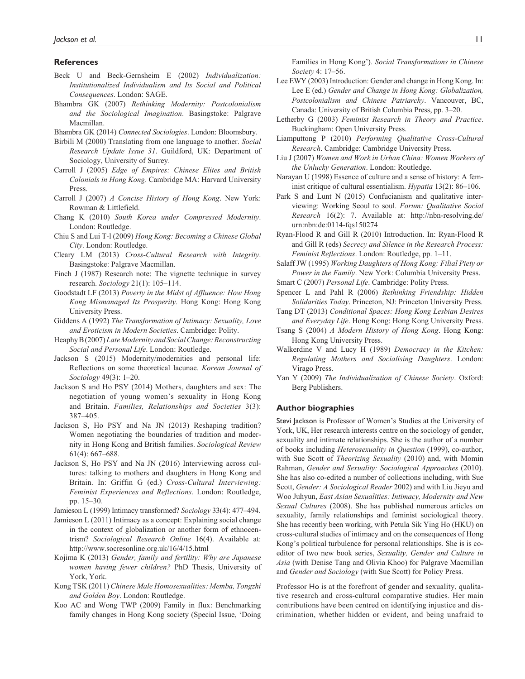#### **References**

- Beck U and Beck-Gernsheim E (2002) *Individualization: Institutionalized Individualism and Its Social and Political Consequences*. London: SAGE.
- Bhambra GK (2007) *Rethinking Modernity: Postcolonialism and the Sociological Imagination*. Basingstoke: Palgrave Macmillan.
- Bhambra GK (2014) *Connected Sociologies*. London: Bloomsbury.
- Birbili M (2000) Translating from one language to another. *Social Research Update Issue 31*. Guildford, UK: Department of Sociology, University of Surrey.
- Carroll J (2005) *Edge of Empires: Chinese Elites and British Colonials in Hong Kong*. Cambridge MA: Harvard University Press.
- Carroll J (2007) *A Concise History of Hong Kong*. New York: Rowman & Littlefield.
- Chang K (2010) *South Korea under Compressed Modernity*. London: Routledge.
- Chiu S and Lui T-l (2009) *Hong Kong: Becoming a Chinese Global City*. London: Routledge.
- Cleary LM (2013) *Cross-Cultural Research with Integrity*. Basingstoke: Palgrave Macmillan.
- Finch J (1987) Research note: The vignette technique in survey research. *Sociology* 21(1): 105–114.
- Goodstadt LF (2013) *Poverty in the Midst of Affluence: How Hong Kong Mismanaged Its Prosperity*. Hong Kong: Hong Kong University Press.
- Giddens A (1992) *The Transformation of Intimacy: Sexuality, Love and Eroticism in Modern Societies*. Cambridge: Polity.
- Heaphy B (2007) *Late Modernity and Social Change: Reconstructing Social and Personal Life*. London: Routledge.
- Jackson S (2015) Modernity/modernities and personal life: Reflections on some theoretical lacunae. *Korean Journal of Sociology* 49(3): 1–20.
- Jackson S and Ho PSY (2014) Mothers, daughters and sex: The negotiation of young women's sexuality in Hong Kong and Britain. *Families, Relationships and Societies* 3(3): 387–405.
- Jackson S, Ho PSY and Na JN (2013) Reshaping tradition? Women negotiating the boundaries of tradition and modernity in Hong Kong and British families. *Sociological Review* 61(4): 667–688.
- Jackson S, Ho PSY and Na JN (2016) Interviewing across cultures: talking to mothers and daughters in Hong Kong and Britain. In: Griffin G (ed.) *Cross-Cultural Interviewing: Feminist Experiences and Reflections*. London: Routledge, pp. 15–30.
- Jamieson L (1999) Intimacy transformed? *Sociology* 33(4): 477–494.
- Jamieson L (2011) Intimacy as a concept: Explaining social change in the context of globalization or another form of ethnocentrism? *Sociological Research Online* 16(4). Available at: <http://www.socresonline.org.uk/16/4/15.html>
- Kojima K (2013) *Gender, family and fertility: Why are Japanese women having fewer children?* PhD Thesis, University of York, York.
- Kong TSK (2011) *Chinese Male Homosexualities: Memba, Tongzhi and Golden Boy*. London: Routledge.
- Koo AC and Wong TWP (2009) Family in flux: Benchmarking family changes in Hong Kong society (Special Issue, 'Doing

Families in Hong Kong'). *Social Transformations in Chinese Society* 4: 17–56.

- Lee EWY (2003) Introduction: Gender and change in Hong Kong. In: Lee E (ed.) *Gender and Change in Hong Kong: Globalization, Postcolonialism and Chinese Patriarchy*. Vancouver, BC, Canada: University of British Columbia Press, pp. 3–20.
- Letherby G (2003) *Feminist Research in Theory and Practice*. Buckingham: Open University Press.
- Liamputtong P (2010) *Performing Qualitative Cross-Cultural Research*. Cambridge: Cambridge University Press.
- Liu J (2007) *Women and Work in Urban China: Women Workers of the Unlucky Generation*. London: Routledge.
- Narayan U (1998) Essence of culture and a sense of history: A feminist critique of cultural essentialism. *Hypatia* 13(2): 86–106.
- Park S and Lunt N (2015) Confucianism and qualitative interviewing: Working Seoul to soul. *Forum: Qualitative Social Research* 16(2): 7. Available at: [http://nbn-resolving.de/](http://nbn-resolving.de/urn:nbn:de:0114-fqs150274) [urn:nbn:de:0114-fqs150274](http://nbn-resolving.de/urn:nbn:de:0114-fqs150274)
- Ryan-Flood R and Gill R (2010) Introduction. In: Ryan-Flood R and Gill R (eds) *Secrecy and Silence in the Research Process: Feminist Reflections*. London: Routledge, pp. 1–11.
- Salaff JW (1995) *Working Daughters of Hong Kong: Filial Piety or Power in the Family*. New York: Columbia University Press.
- Smart C (2007) *Personal Life*. Cambridge: Polity Press.
- Spencer L and Pahl R (2006) *Rethinking Friendship: Hidden Solidarities Today*. Princeton, NJ: Princeton University Press.
- Tang DT (2013) *Conditional Spaces: Hong Kong Lesbian Desires and Everyday Life*. Hong Kong: Hong Kong University Press.
- Tsang S (2004) *A Modern History of Hong Kong*. Hong Kong: Hong Kong University Press.
- Walkerdine V and Lucy H (1989) *Democracy in the Kitchen: Regulating Mothers and Socialising Daughters*. London: Virago Press.
- Yan Y (2009) *The Individualization of Chinese Society*. Oxford: Berg Publishers.

#### **Author biographies**

Stevi Jackson is Professor of Women's Studies at the University of York, UK, Her research interests centre on the sociology of gender, sexuality and intimate relationships. She is the author of a number of books including *Heterosexuality in Question* (1999), co-author, with Sue Scott of *Theorizing Sexuality* (2010) and, with Momin Rahman, *Gender and Sexuality: Sociological Approaches* (2010). She has also co-edited a number of collections including, with Sue Scott, *Gender: A Sociological Reader* 2002) and with Liu Jieyu and Woo Juhyun, *East Asian Sexualities: Intimacy, Modernity and New Sexual Cultures* (2008). She has published numerous articles on sexuality, family relationships and feminist sociological theory. She has recently been working, with Petula Sik Ying Ho (HKU) on cross-cultural studies of intimacy and on the consequences of Hong Kong's political turbulence for personal relationships. She is is coeditor of two new book series, *Sexuality, Gender and Culture in Asia* (with Denise Tang and Olivia Khoo) for Palgrave Macmillan and *Gender and Sociology* (with Sue Scott) for Policy Press.

Professor Ho is at the forefront of gender and sexuality, qualitative research and cross-cultural comparative studies. Her main contributions have been centred on identifying injustice and discrimination, whether hidden or evident, and being unafraid to